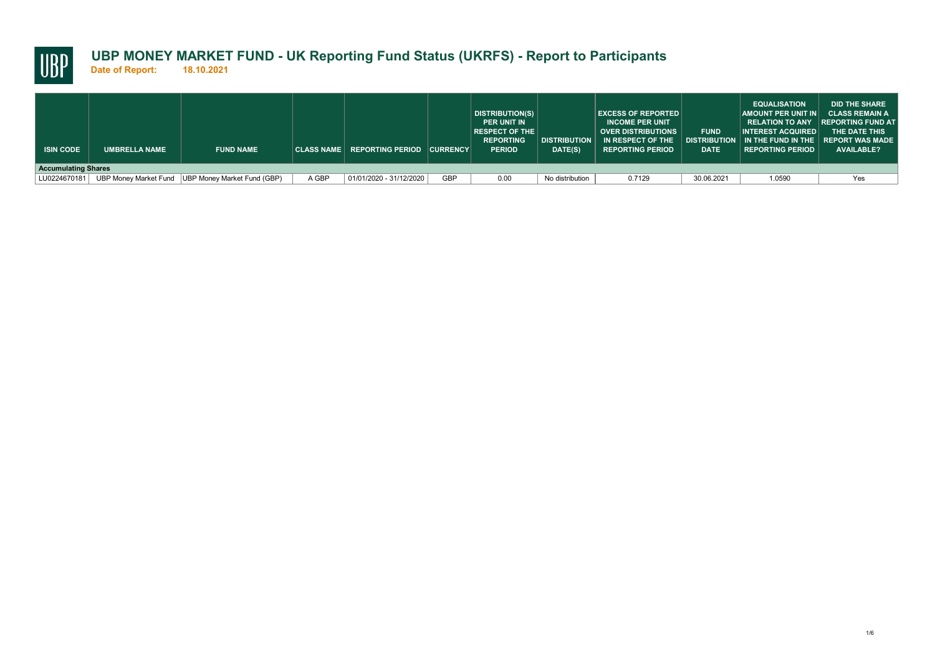

**Date of Report: 18.10.2021**

| <b>ISIN CODE</b> | <b>UMBRELLA NAME</b>       | <b>FUND NAME</b>                                  |       | CLASS NAME REPORTING PERIOD CURRENCY |            | DISTRIBUTION(S)  <br><b>PER UNIT IN</b><br><b>RESPECT OF THE</b><br><b>REPORTING</b><br><b>PERIOD</b> | <b>DISTRIBUTION</b><br>DATE(S) | <b>EXCESS OF REPORTED  </b><br><b>INCOME PER UNIT</b><br><b>OVER DISTRIBUTIONS</b><br>IN RESPECT OF THE<br><b>REPORTING PERIOD</b> | <b>FUND</b><br><b>DATE</b> | <b>EQUALISATION</b><br>AMOUNT PER UNIT IN CLASS REMAIN A<br>$\overline{\phantom{a}}$ INTEREST ACQUIRED $\overline{\phantom{a}}$<br>$\mid$ distribution $\mid$ in the fund in the $\mid$ report was made<br><b>REPORTING PERIOD</b> | <b>DID THE SHARE</b><br>RELATION TO ANY IREPORTING FUND AT<br>THE DATE THIS<br><b>AVAILABLE?</b> |  |  |
|------------------|----------------------------|---------------------------------------------------|-------|--------------------------------------|------------|-------------------------------------------------------------------------------------------------------|--------------------------------|------------------------------------------------------------------------------------------------------------------------------------|----------------------------|------------------------------------------------------------------------------------------------------------------------------------------------------------------------------------------------------------------------------------|--------------------------------------------------------------------------------------------------|--|--|
|                  | <b>Accumulating Shares</b> |                                                   |       |                                      |            |                                                                                                       |                                |                                                                                                                                    |                            |                                                                                                                                                                                                                                    |                                                                                                  |  |  |
| LU0224670181     |                            | UBP Money Market Fund UBP Money Market Fund (GBP) | A GBP | 01/01/2020 - 31/12/2020              | <b>GBP</b> | 0.00                                                                                                  | No distribution                | 0.7129                                                                                                                             | 30.06.2021                 | 1.0590                                                                                                                                                                                                                             | Yes                                                                                              |  |  |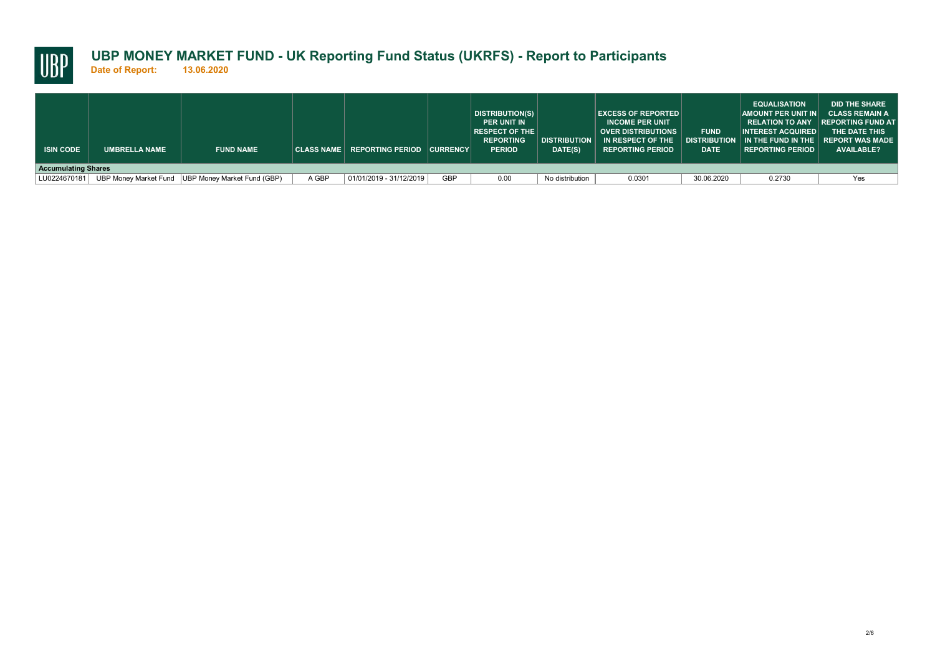

**Date of Report: 13.06.2020**

| <b>ISIN CODE</b> | <b>UMBRELLA NAME</b>       | <b>FUND NAME</b>                                  |       | CLASS NAME REPORTING PERIOD CURRENCY |            | DISTRIBUTION(S)<br><b>PER UNIT IN</b><br><b>RESPECT OF THE</b><br><b>REPORTING</b><br><b>PERIOD</b> | <b>DISTRIBUTION</b><br>DATE(S) | <b>EXCESS OF REPORTED</b><br><b>INCOME PER UNIT</b><br><b>OVER DISTRIBUTIONS</b><br>$\parallel$ IN RESPECT OF THE<br><b>REPORTING PERIOD</b> | <b>FUND</b><br><b>DATE</b> | <b>EQUALISATION</b><br>$\mathsf{\mid}$ AMOUNT PER UNIT IN $\mathsf{\mid}$<br><b>INTEREST ACQUIRED</b><br>$\mid$ distribution $\mid$ in the fund in the $\mid$ report was made<br><b>REPORTING PERIOD</b> | <b>DID THE SHARE</b><br><b>CLASS REMAIN A</b><br>RELATION TO ANY REPORTING FUND AT<br>THE DATE THIS<br><b>AVAILABLE?</b> |  |  |
|------------------|----------------------------|---------------------------------------------------|-------|--------------------------------------|------------|-----------------------------------------------------------------------------------------------------|--------------------------------|----------------------------------------------------------------------------------------------------------------------------------------------|----------------------------|----------------------------------------------------------------------------------------------------------------------------------------------------------------------------------------------------------|--------------------------------------------------------------------------------------------------------------------------|--|--|
|                  | <b>Accumulating Shares</b> |                                                   |       |                                      |            |                                                                                                     |                                |                                                                                                                                              |                            |                                                                                                                                                                                                          |                                                                                                                          |  |  |
| LU0224670181     |                            | UBP Money Market Fund UBP Money Market Fund (GBP) | A GBP | 01/01/2019 - 31/12/2019              | <b>GBP</b> | 0.00                                                                                                | No distribution                | 0.0301                                                                                                                                       | 30.06.2020                 | 0.2730                                                                                                                                                                                                   | Yes                                                                                                                      |  |  |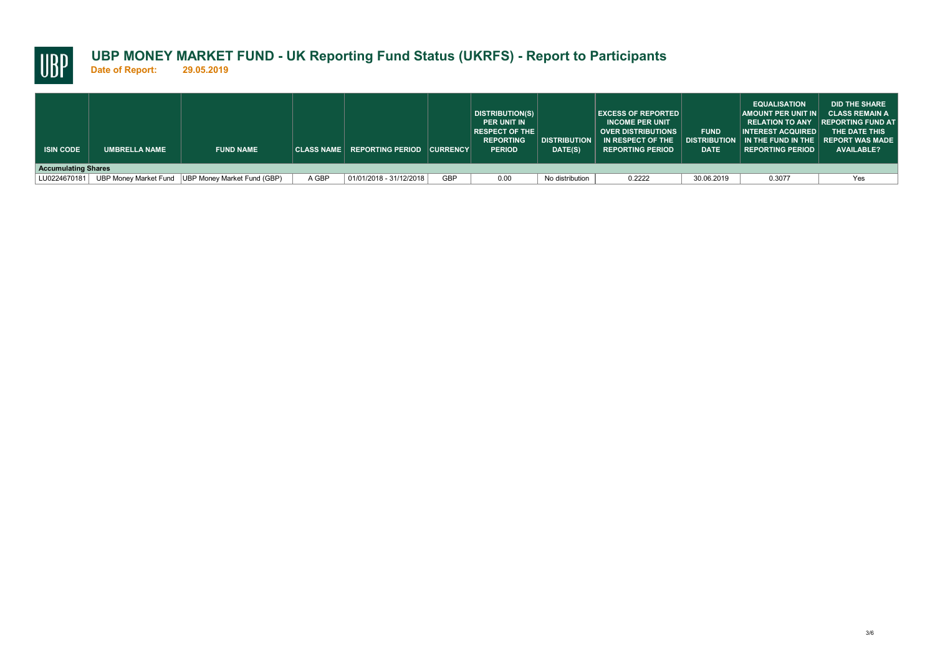

**Date of Report: 29.05.2019**

| <b>ISIN CODE</b> | <b>UMBRELLA NAME</b>       | <b>FUND NAME</b>                                  |       | CLASS NAME REPORTING PERIOD CURRENCY |            | <b>DISTRIBUTION(S)</b><br><b>PER UNIT IN</b><br>$ $ RESPECT OF THE $ $<br><b>REPORTING</b><br><b>PERIOD</b> | <b>DISTRIBUTION</b><br>DATE(S) | <b>EXCESS OF REPORTED</b><br><b>INCOME PER UNIT</b><br><b>OVER DISTRIBUTIONS</b><br>IN RESPECT OF THE<br><b>REPORTING PERIOD</b> | <b>FUND</b><br><b>DATE</b> | <b>EQUALISATION</b><br>AMOUNT PER UNIT IN CLASS REMAIN A<br>INTEREST ACQUIRED<br>$\mid$ distribution $\mid$ in the fund in the $\mid$ report was made<br><b>REPORTING PERIOD</b> | <b>DID THE SHARE</b><br><b>RELATION TO ANY REPORTING FUND AT</b><br>THE DATE THIS<br><b>AVAILABLE?</b> |  |  |
|------------------|----------------------------|---------------------------------------------------|-------|--------------------------------------|------------|-------------------------------------------------------------------------------------------------------------|--------------------------------|----------------------------------------------------------------------------------------------------------------------------------|----------------------------|----------------------------------------------------------------------------------------------------------------------------------------------------------------------------------|--------------------------------------------------------------------------------------------------------|--|--|
|                  | <b>Accumulating Shares</b> |                                                   |       |                                      |            |                                                                                                             |                                |                                                                                                                                  |                            |                                                                                                                                                                                  |                                                                                                        |  |  |
| LU0224670181     |                            | UBP Money Market Fund UBP Money Market Fund (GBP) | A GBP | 01/01/2018 - 31/12/2018              | <b>GBP</b> | 0.00                                                                                                        | No distribution                | 0.2222                                                                                                                           | 30.06.2019                 | 0.3077                                                                                                                                                                           | Yes                                                                                                    |  |  |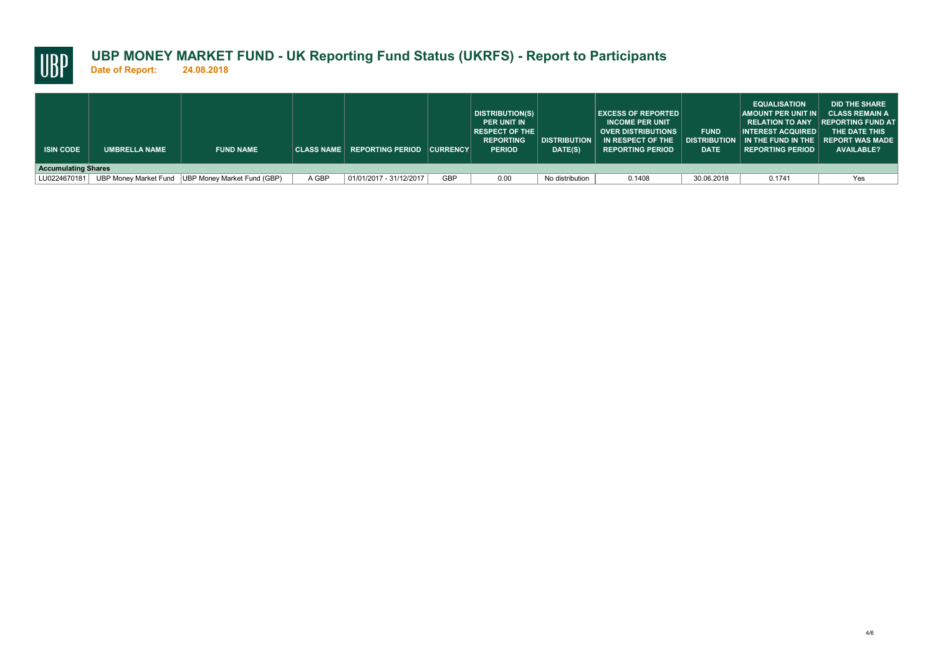

**Date of Report: 24.08.2018**

| <b>ISIN CODE</b> | <b>UMBRELLA NAME</b>       | <b>FUND NAME</b>                                  |       | CLASS NAME REPORTING PERIOD CURRENCY |            | DISTRIBUTION(S)  <br><b>PER UNIT IN</b><br><b>RESPECT OF THE</b><br><b>REPORTING</b><br><b>PERIOD</b> | <b>DISTRIBUTION</b><br>DATE(S) | <b>EXCESS OF REPORTED  </b><br><b>INCOME PER UNIT</b><br><b>OVER DISTRIBUTIONS</b><br>IN RESPECT OF THE<br><b>REPORTING PERIOD</b> | <b>FUND</b><br><b>DATE</b> | <b>EQUALISATION</b><br>AMOUNT PER UNIT IN CLASS REMAIN A<br>$\overline{\phantom{a}}$ INTEREST ACQUIRED $\overline{\phantom{a}}$<br>$\mid$ distribution $\mid$ in the fund in the $\mid$ report was made<br><b>REPORTING PERIOD</b> | <b>DID THE SHARE</b><br>RELATION TO ANY IREPORTING FUND AT<br>THE DATE THIS<br><b>AVAILABLE?</b> |  |  |
|------------------|----------------------------|---------------------------------------------------|-------|--------------------------------------|------------|-------------------------------------------------------------------------------------------------------|--------------------------------|------------------------------------------------------------------------------------------------------------------------------------|----------------------------|------------------------------------------------------------------------------------------------------------------------------------------------------------------------------------------------------------------------------------|--------------------------------------------------------------------------------------------------|--|--|
|                  | <b>Accumulating Shares</b> |                                                   |       |                                      |            |                                                                                                       |                                |                                                                                                                                    |                            |                                                                                                                                                                                                                                    |                                                                                                  |  |  |
| LU0224670181     |                            | UBP Money Market Fund UBP Money Market Fund (GBP) | A GBP | 01/01/2017 - 31/12/2017              | <b>GBP</b> | 0.00                                                                                                  | No distribution                | 0.1408                                                                                                                             | 30.06.2018                 | 0.1741                                                                                                                                                                                                                             | Yes                                                                                              |  |  |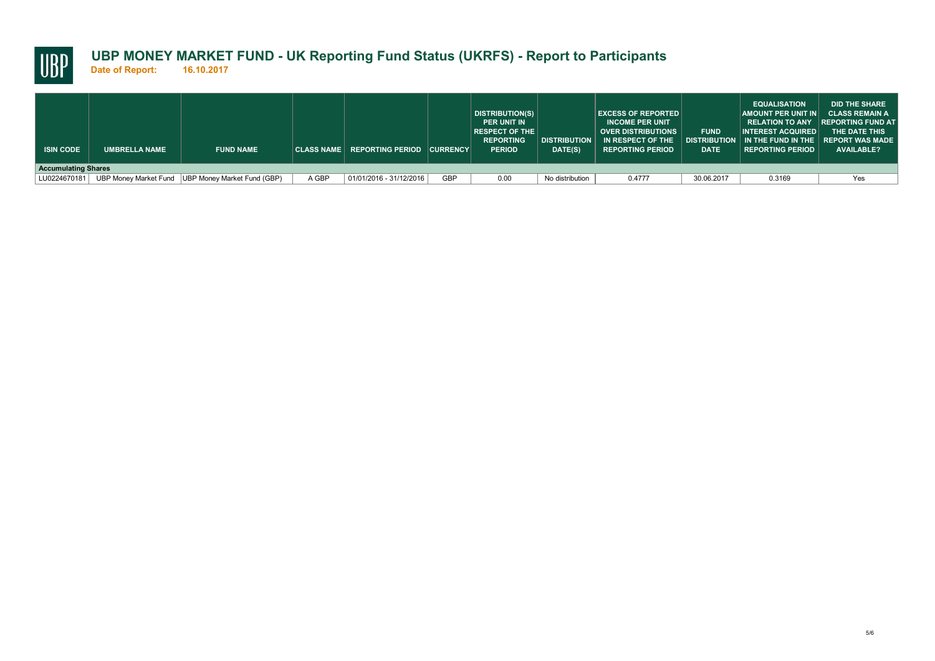

**Date of Report: 16.10.2017**

| <b>ISIN CODE</b> | UMBRELLA NAME              | <b>FUND NAME</b>                                  |       | $ $ CLASS NAME $ $ REPORTING PERIOD $ $ CURRENCY $ $ |            | DISTRIBUTION(S)<br><b>PER UNIT IN</b><br>$ $ RESPECT OF THE $ $<br><b>REPORTING</b><br><b>PERIOD</b> | <b>DISTRIBUTION</b><br>DATE(S) | <b>EXCESS OF REPORTED  </b><br><b>INCOME PER UNIT</b><br><b>OVER DISTRIBUTIONS</b><br>IN RESPECT OF THE<br><b>REPORTING PERIOD</b> | <b>FUND</b><br><b>DATE</b> | <b>EQUALISATION</b><br>AMOUNT PER UNIT IN CLASS REMAIN A<br>INTEREST ACQUIRED<br>$\parallel$ DISTRIBUTION $\parallel$ IN THE FUND IN THE $\parallel$ REPORT WAS MADE<br><b>REPORTING PERIOD</b> | <b>DID THE SHARE</b><br><b>RELATION TO ANY REPORTING FUND AT</b><br>THE DATE THIS<br><b>AVAILABLE?</b> |  |  |
|------------------|----------------------------|---------------------------------------------------|-------|------------------------------------------------------|------------|------------------------------------------------------------------------------------------------------|--------------------------------|------------------------------------------------------------------------------------------------------------------------------------|----------------------------|-------------------------------------------------------------------------------------------------------------------------------------------------------------------------------------------------|--------------------------------------------------------------------------------------------------------|--|--|
|                  | <b>Accumulating Shares</b> |                                                   |       |                                                      |            |                                                                                                      |                                |                                                                                                                                    |                            |                                                                                                                                                                                                 |                                                                                                        |  |  |
| LU0224670181     |                            | UBP Money Market Fund UBP Money Market Fund (GBP) | A GBP | 01/01/2016 - 31/12/2016                              | <b>GBP</b> | 0.00                                                                                                 | No distribution                | 0.4777                                                                                                                             | 30.06.2017                 | 0.3169                                                                                                                                                                                          | Yes                                                                                                    |  |  |